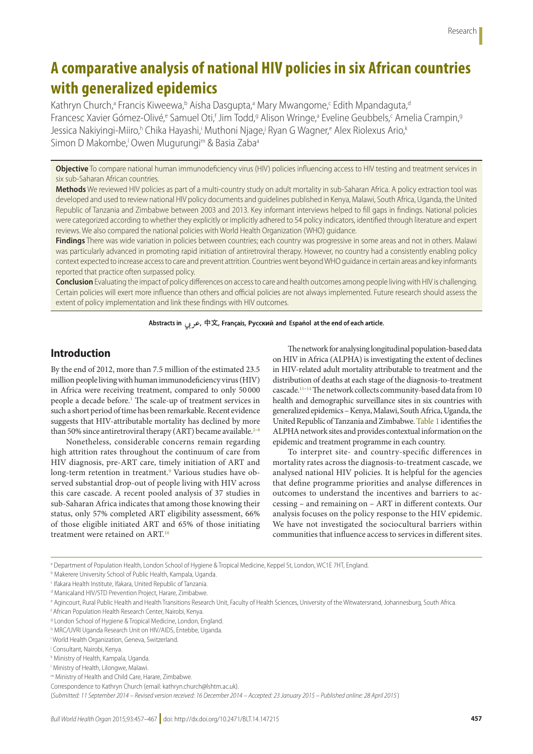# **A comparative analysis of national HIV policies in six African countries with generalized epidemics**

Kathryn Church,<sup>a</sup> Francis Kiweewa,<sup>b</sup> Aisha Dasgupta,<sup>a</sup> Mary Mwangome,<sup>c</sup> Edith Mpandaguta,<sup>d</sup> Francesc Xavier Gómez-Olivé,<sup>e</sup> Samuel Oti,<sup>f</sup> Jim Todd,<sup>g</sup> Alison Wringe,ª Eveline Geubbels,<sup>c</sup> Amelia Crampin,ª Jessica Nakiyingi-Miiro,<sup>h</sup> Chika Hayashi,<sup>i</sup> Muthoni Njage,<sup>j</sup> Ryan G Wagner,<sup>e</sup> Alex Riolexus Ario,<sup>k</sup> Simon D Makombe,<sup>i</sup> Owen Mugurungi<sup>m</sup> & Basia Zaba<sup>a</sup>

**Objective** To compare national human immunodeficiency virus (HIV) policies influencing access to HIV testing and treatment services in six sub-Saharan African countries.

**Methods** We reviewed HIV policies as part of a multi-country study on adult mortality in sub-Saharan Africa. A policy extraction tool was developed and used to review national HIV policy documents and guidelines published in Kenya, Malawi, South Africa, Uganda, the United Republic of Tanzania and Zimbabwe between 2003 and 2013. Key informant interviews helped to fill gaps in findings. National policies were categorized according to whether they explicitly or implicitly adhered to 54 policy indicators, identified through literature and expert reviews. We also compared the national policies with World Health Organization (WHO) guidance.

**Findings** There was wide variation in policies between countries; each country was progressive in some areas and not in others. Malawi was particularly advanced in promoting rapid initiation of antiretroviral therapy. However, no country had a consistently enabling policy context expected to increase access to care and prevent attrition. Countries went beyond WHO guidance in certain areas and key informants reported that practice often surpassed policy.

**Conclusion** Evaluating the impact of policy differences on access to care and health outcomes among people living with HIV is challenging. Certain policies will exert more influence than others and official policies are not always implemented. Future research should assess the extent of policy implementation and link these findings with HIV outcomes.

Abstracts in جرب, 中文, Français, Русский and Español at the end of each article.

## **Introduction**

By the end of 2012, more than 7.5 million of the estimated 23.5 million people living with human immunodeficiency virus (HIV) in Africa were receiving treatment, compared to only 50 000 people a decade before[.1](#page-9-0) The scale-up of treatment services in such a short period of time has been remarkable. Recent evidence suggests that HIV-attributable mortality has declined by more than 50% since antiretroviral therapy (ART) became available.<sup>2-[8](#page-9-2)</sup>

Nonetheless, considerable concerns remain regarding high attrition rates throughout the continuum of care from HIV diagnosis, pre-ART care, timely initiation of ART and long-term retention in treatment.<sup>9</sup> Various studies have observed substantial drop-out of people living with HIV across this care cascade. A recent pooled analysis of 37 studies in sub-Saharan Africa indicates that among those knowing their status, only 57% completed ART eligibility assessment, 66% of those eligible initiated ART and 65% of those initiating treatment were retained on ART.<sup>[10](#page-9-4)</sup>

The network for analysing longitudinal population-based data on HIV in Africa (ALPHA) is investigating the extent of declines in HIV-related adult mortality attributable to treatment and the distribution of deaths at each stage of the diagnosis-to-treatment cascade.<sup>11-14</sup> The network collects community-based data from 10 health and demographic surveillance sites in six countries with generalized epidemics – Kenya, Malawi, South Africa, Uganda, the United Republic of Tanzania and Zimbabwe. [Table](#page-1-0) 1 identifies the ALPHA network sites and provides contextual information on the epidemic and treatment programme in each country.

To interpret site- and country-specific differences in mortality rates across the diagnosis-to-treatment cascade, we analysed national HIV policies. It is helpful for the agencies that define programme priorities and analyse differences in outcomes to understand the incentives and barriers to accessing – and remaining on – ART in different contexts. Our analysis focuses on the policy response to the HIV epidemic. We have not investigated the sociocultural barriers within communities that influence access to services in different sites.

a Department of Population Health, London School of Hygiene & Tropical Medicine, Keppel St, London, WC1E 7HT, England.

m Ministry of Health and Child Care, Harare, Zimbabwe.

(*Submitted: 11 September 2014 – Revised version received: 16 December 2014 – Accepted: 23 January 2015 – Published online: 28 April 2015* )

b Makerere University School of Public Health, Kampala, Uganda.

c Ifakara Health Institute, Ifakara, United Republic of Tanzania.

<sup>&</sup>lt;sup>d</sup> Manicaland HIV/STD Prevention Project, Harare, Zimbabwe.

e Agincourt, Rural Public Health and Health Transitions Research Unit, Faculty of Health Sciences, University of the Witwatersrand, Johannesburg, South Africa.

f African Population Health Research Center, Nairobi, Kenya.

<sup>&</sup>lt;sup>9</sup> London School of Hygiene & Tropical Medicine, London, England.

h MRC/UVRI Uganda Research Unit on HIV/AIDS, Entebbe, Uganda.

i World Health Organization, Geneva, Switzerland.

j Consultant, Nairobi, Kenya.

k Ministry of Health, Kampala, Uganda.

l Ministry of Health, Lilongwe, Malawi.

Correspondence to Kathryn Church (email: kathryn.church@lshtm.ac.uk).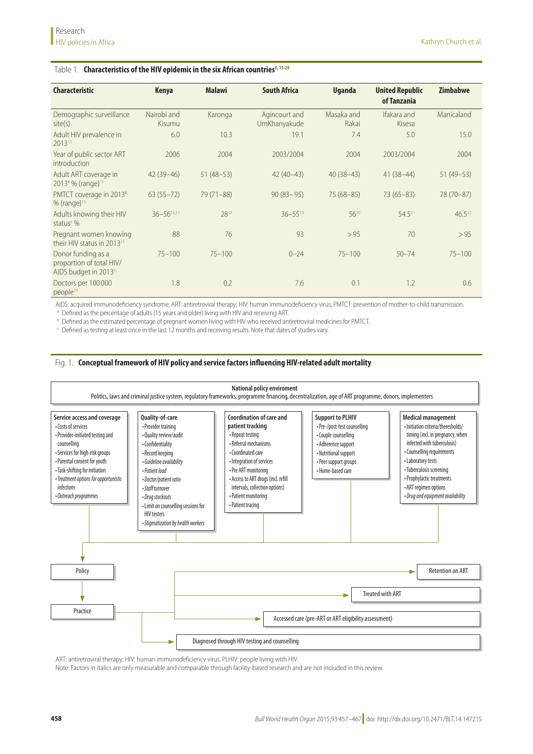#### <span id="page-1-0"></span>Table 1. **Characteristics of the HIV epidemic in the six African countries<sup>9, [15](#page-9-7)[-24](#page-9-8)</sup>**

| <b>Characteristic</b>                                                  | <b>Kenya</b>          | <b>Malawi</b> | <b>South Africa</b>           | <b>Uganda</b>       | <b>United Republic</b><br>of Tanzania | <b>Zimbabwe</b> |  |
|------------------------------------------------------------------------|-----------------------|---------------|-------------------------------|---------------------|---------------------------------------|-----------------|--|
| Demographic surveillance<br>site(s)                                    | Nairobi and<br>Kisumu | Karonga       | Agincourt and<br>UmKhanyakude | Masaka and<br>Rakai | Ifakara and<br>Kisesa                 | Manicaland      |  |
| Adult HIV prevalence in<br>201315                                      | 6.0                   | 10.3          | 19.1                          | 7.4                 | 5.0                                   | 15.0            |  |
| Year of public sector ART<br>introduction                              | 2006                  | 2004          | 2003/2004                     | 2004                | 2003/2004                             | 2004            |  |
| Adult ART coverage in<br>$2013^{\circ}$ % (range) <sup>15</sup>        | $42(39 - 46)$         | $51(48-53)$   | $42(40-43)$                   | $40(38-43)$         | $41(38-44)$                           | $51(49-53)$     |  |
| PMTCT coverage in 2013 <sup>b</sup><br>$%$ (range) <sup>15</sup>       | $63(55 - 72)$         | $79(71 - 88)$ | $90(83 - 95)$                 | $75(68 - 85)$       | $73(65 - 83)$                         | 78 (70-87)      |  |
| Adults knowing their HIV<br>status <sup>c</sup> %                      | $36 - 56^{16,17}$     | 2818          | $36 - 55^{19}$                | $56^{20}$           | $54.5^{21}$                           | $46.5^{22}$     |  |
| Pregnant women knowing<br>their HIV status in 2013 <sup>23</sup>       | 88                    | 76            | 93                            | > 95                | 70                                    | > 95            |  |
| Donor funding as a<br>proportion of total HIV/<br>AIDS budget in 20139 | $75 - 100$            | $75 - 100$    | $0 - 24$                      | $75 - 100$          | $50 - 74$                             | $75 - 100$      |  |
| Doctors per 100000<br>people <sup>24</sup>                             | 1.8                   | 0.2           | 7.6                           | 0.1                 | 1.2                                   | 0.6             |  |

AIDS: acquired immunodeficiency syndrome; ART: antiretroviral therapy; HIV: human immunodeficiency virus; PMTCT: prevention of mother-to-child transmission.

<sup>a</sup> Defined as the percentage of adults (15 years and older) living with HIV and receiving ART.

**b** Defined as the estimated percentage of pregnant women living with HIV who received antiretroviral medicines for PMTCT.

 $\epsilon$  Defined as testing at least once in the last 12 months and receiving results. Note that dates of studies vary.

#### <span id="page-1-1"></span>Fig. 1. **Conceptual framework of HIV policy and service factors influencing HIV-related adult mortality**



ART: antiretroviral therapy; HIV: human immunodeficiency virus. PLHIV: people living with HIV.

Note: Factors in italics are only measurable and comparable through facility-based research and are not included in this review.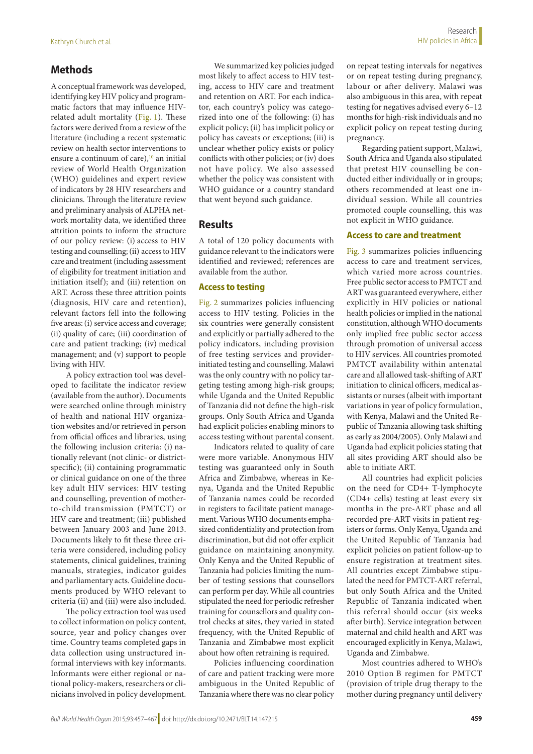## **Methods**

A conceptual framework was developed, identifying key HIV policy and programmatic factors that may influence HIVrelated adult mortality [\(Fig.](#page-1-1) 1). These factors were derived from a review of the literature (including a recent systematic review on health sector interventions to ensure a continuum of care), $^{10}$  an initial review of World Health Organization (WHO) guidelines and expert review of indicators by 28 HIV researchers and clinicians. Through the literature review and preliminary analysis of ALPHA network mortality data, we identified three attrition points to inform the structure of our policy review: (i) access to HIV testing and counselling; (ii) access to HIV care and treatment (including assessment of eligibility for treatment initiation and initiation itself); and (iii) retention on ART. Across these three attrition points (diagnosis, HIV care and retention), relevant factors fell into the following five areas: (i) service access and coverage; (ii) quality of care; (iii) coordination of care and patient tracking; (iv) medical management; and (v) support to people living with HIV.

A policy extraction tool was developed to facilitate the indicator review (available from the author). Documents were searched online through ministry of health and national HIV organization websites and/or retrieved in person from official offices and libraries, using the following inclusion criteria: (i) nationally relevant (not clinic- or districtspecific); (ii) containing programmatic or clinical guidance on one of the three key adult HIV services: HIV testing and counselling, prevention of motherto-child transmission (PMTCT) or HIV care and treatment; (iii) published between January 2003 and June 2013. Documents likely to fit these three criteria were considered, including policy statements, clinical guidelines, training manuals, strategies, indicator guides and parliamentary acts. Guideline documents produced by WHO relevant to criteria (ii) and (iii) were also included.

The policy extraction tool was used to collect information on policy content, source, year and policy changes over time. Country teams completed gaps in data collection using unstructured informal interviews with key informants. Informants were either regional or national policy-makers, researchers or clinicians involved in policy development.

We summarized key policies judged most likely to affect access to HIV testing, access to HIV care and treatment and retention on ART. For each indicator, each country's policy was categorized into one of the following: (i) has explicit policy; (ii) has implicit policy or policy has caveats or exceptions; (iii) is unclear whether policy exists or policy conflicts with other policies; or (iv) does not have policy. We also assessed whether the policy was consistent with WHO guidance or a country standard that went beyond such guidance.

## **Results**

A total of 120 policy documents with guidance relevant to the indicators were identified and reviewed; references are available from the author.

#### **Access to testing**

[Fig.](#page-3-0) 2 summarizes policies influencing access to HIV testing. Policies in the six countries were generally consistent and explicitly or partially adhered to the policy indicators, including provision of free testing services and providerinitiated testing and counselling. Malawi was the only country with no policy targeting testing among high-risk groups; while Uganda and the United Republic of Tanzania did not define the high-risk groups. Only South Africa and Uganda had explicit policies enabling minors to access testing without parental consent.

Indicators related to quality of care were more variable. Anonymous HIV testing was guaranteed only in South Africa and Zimbabwe, whereas in Kenya, Uganda and the United Republic of Tanzania names could be recorded in registers to facilitate patient management. Various WHO documents emphasized confidentiality and protection from discrimination, but did not offer explicit guidance on maintaining anonymity. Only Kenya and the United Republic of Tanzania had policies limiting the number of testing sessions that counsellors can perform per day. While all countries stipulated the need for periodic refresher training for counsellors and quality control checks at sites, they varied in stated frequency, with the United Republic of Tanzania and Zimbabwe most explicit about how often retraining is required.

Policies influencing coordination of care and patient tracking were more ambiguous in the United Republic of Tanzania where there was no clear policy

on repeat testing intervals for negatives or on repeat testing during pregnancy, labour or after delivery. Malawi was also ambiguous in this area, with repeat testing for negatives advised every 6–12 months for high-risk individuals and no explicit policy on repeat testing during pregnancy.

Regarding patient support, Malawi, South Africa and Uganda also stipulated that pretest HIV counselling be conducted either individually or in groups; others recommended at least one individual session. While all countries promoted couple counselling, this was not explicit in WHO guidance.

#### **Access to care and treatment**

[Fig.](#page-4-0) 3 summarizes policies influencing access to care and treatment services, which varied more across countries. Free public sector access to PMTCT and ART was guaranteed everywhere, either explicitly in HIV policies or national health policies or implied in the national constitution, although WHO documents only implied free public sector access through promotion of universal access to HIV services. All countries promoted PMTCT availability within antenatal care and all allowed task-shifting of ART initiation to clinical officers, medical assistants or nurses (albeit with important variations in year of policy formulation, with Kenya, Malawi and the United Republic of Tanzania allowing task shifting as early as 2004/2005). Only Malawi and Uganda had explicit policies stating that all sites providing ART should also be able to initiate ART.

All countries had explicit policies on the need for CD4+ T-lymphocyte (CD4+ cells) testing at least every six months in the pre-ART phase and all recorded pre-ART visits in patient registers or forms. Only Kenya, Uganda and the United Republic of Tanzania had explicit policies on patient follow-up to ensure registration at treatment sites. All countries except Zimbabwe stipulated the need for PMTCT-ART referral, but only South Africa and the United Republic of Tanzania indicated when this referral should occur (six weeks after birth). Service integration between maternal and child health and ART was encouraged explicitly in Kenya, Malawi, Uganda and Zimbabwe.

Most countries adhered to WHO's 2010 Option B regimen for PMTCT (provision of triple drug therapy to the mother during pregnancy until delivery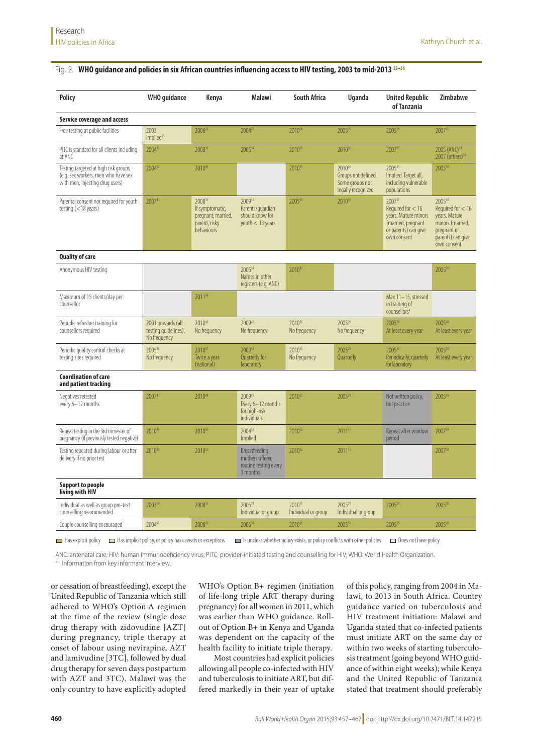## <span id="page-3-0"></span>Fig. 2. **WHO guidance and policies in six African countries influencing access to HIV testing, 2003 to mid-2013 [25](#page-9-17)[–56](#page-10-0)**

| Policy                                                                                                         | <b>WHO</b> guidance                                       | Kenya                                                                          | <b>Malawi</b>                                                         | South Africa                       | Uganda                                                                             | <b>United Republic</b><br>of Tanzania                                                                                   | <b>Zimbabwe</b>                                                                                                                   |
|----------------------------------------------------------------------------------------------------------------|-----------------------------------------------------------|--------------------------------------------------------------------------------|-----------------------------------------------------------------------|------------------------------------|------------------------------------------------------------------------------------|-------------------------------------------------------------------------------------------------------------------------|-----------------------------------------------------------------------------------------------------------------------------------|
| Service coverage and access                                                                                    |                                                           |                                                                                |                                                                       |                                    |                                                                                    |                                                                                                                         |                                                                                                                                   |
| Free testing at public facilities                                                                              | 2003<br>Implied <sup>25</sup>                             | 2006 <sup>26</sup>                                                             | 2004 <sup>27</sup>                                                    | 2010 <sup>28</sup>                 | 2005 <sup>29</sup>                                                                 | 200530                                                                                                                  | $2007^{31}$                                                                                                                       |
| PITC is standard for all clients including<br>at ANC                                                           | 200432                                                    | 200833                                                                         | 200634                                                                | 201035                             | 2010 <sup>36</sup>                                                                 | 200737                                                                                                                  | 2005 (ANC) <sup>38</sup><br>2007 (others) <sup>39</sup>                                                                           |
| Testing targeted at high risk groups<br>(e.g. sex workers, men who have sex<br>with men, injecting drug users) | 200432                                                    | 201040                                                                         |                                                                       | 2010 <sup>35</sup>                 | 2010 <sup>36</sup><br>Groups not defined.<br>Some groups not<br>legally recognized | 200530<br>Implied. Target all,<br>including vulnerable<br>populations                                                   | 200538                                                                                                                            |
| Parental consent not required for youth<br>testing $(<$ 18 years)                                              | 200741                                                    | 200833<br>If symptomatic,<br>pregnant, married,<br>parent, risky<br>behaviours | 200942<br>Parents/quardian<br>should know for<br>youth $<$ 13 years   | 200543                             | 2010 <sup>36</sup>                                                                 | $2007^{37}$<br>Required for $< 16$<br>years. Mature minors<br>(married, pregnant<br>or parents) can give<br>own consent | 2005 <sup>38</sup><br>Required for $<$ 16<br>years. Mature<br>minors (married,<br>pregnant or<br>parents) can give<br>own consent |
| <b>Quality of care</b>                                                                                         |                                                           |                                                                                |                                                                       |                                    |                                                                                    |                                                                                                                         |                                                                                                                                   |
| Anonymous HIV testing                                                                                          |                                                           |                                                                                | 200634<br>Names in other<br>registers (e.g. ANC)                      | 2010 <sup>35</sup>                 |                                                                                    |                                                                                                                         | 200538                                                                                                                            |
| Maximum of 15 clients/day per<br>counsellor                                                                    |                                                           | 201144                                                                         |                                                                       |                                    |                                                                                    | Max 11-15, stressed<br>in training of<br>counsellors <sup>a</sup>                                                       |                                                                                                                                   |
| Periodic refresher training for<br>counsellors required                                                        | 2001 onwards (all<br>testing quidelines).<br>No frequency | 201045<br>No frequency                                                         | 200942<br>No frequency                                                | 2010 <sup>35</sup><br>No frequency | 2005 <sup>29</sup><br>No frequency                                                 | 200530<br>At least every year                                                                                           | 200538<br>At least every year                                                                                                     |
| Periodic quality control checks at<br>testing sites required                                                   | 200546<br>No frequency                                    | 201047<br>Twice a year<br>(national)                                           | 200942<br>Quarterly for<br>laboratory                                 | $2010^{35}$<br>No frequency        | 2005 <sup>29</sup><br>Quarterly                                                    | 200530<br>Periodically; quarterly<br>for laboratory                                                                     | 200538<br>At least every year                                                                                                     |
| <b>Coordination of care</b><br>and patient tracking                                                            |                                                           |                                                                                |                                                                       |                                    |                                                                                    |                                                                                                                         |                                                                                                                                   |
| Negatives retested<br>every 6-12 months                                                                        | 200741                                                    | 201048                                                                         | 200942<br>Every 6-12 months<br>for high-risk<br><b>individuals</b>    | 201035                             | 2005 <sup>29</sup>                                                                 | Not written policy,<br>but practice                                                                                     | 200538                                                                                                                            |
| Repeat testing in the 3rd trimester of<br>pregnancy (if previously tested negative)                            | 201049                                                    | 2010 <sup>50</sup>                                                             | 200451<br>Implied                                                     | 2010 <sup>52</sup>                 | 201153                                                                             | Repeat after window<br>period                                                                                           | 200739                                                                                                                            |
| Testing repeated during labour or after<br>delivery if no prior test                                           | 201049                                                    | 2010 <sup>50</sup>                                                             | Breastfeeding<br>mothers offered<br>routine testing every<br>3 months | 2010 <sup>52</sup>                 | 201153                                                                             |                                                                                                                         | 200739                                                                                                                            |
| <b>Support to people</b><br>living with HIV                                                                    |                                                           |                                                                                |                                                                       |                                    |                                                                                    |                                                                                                                         |                                                                                                                                   |
| Individual as well as group pre-test<br>counselling recommended                                                | 200354                                                    | 200833                                                                         | 200634<br>Individual or group                                         | 201035<br>Individual or group      | 2005 <sup>29</sup><br>Individual or group                                          | 200530                                                                                                                  | 200538                                                                                                                            |
| Couple counselling encouraged                                                                                  | 200455                                                    | 200833                                                                         | 200634                                                                | 201035                             | 200556                                                                             | 200530                                                                                                                  | 200538                                                                                                                            |
| $\blacksquare$ Has explicit policy                                                                             | Has implicit policy, or policy has caveats or exceptions  |                                                                                |                                                                       |                                    | Is unclear whether policy exists, or policy conflicts with other policies          | $\Box$ Does not have policy                                                                                             |                                                                                                                                   |

ANC: antenatal care; HIV: human immunodeficiency virus; PITC: provider-initiated testing and counselling for HIV; WHO: World Health Organization.

<sup>a</sup> Information from key informant interview.

or cessation of breastfeeding), except the United Republic of Tanzania which still adhered to WHO's Option A regimen at the time of the review (single dose drug therapy with zidovudine [AZT] during pregnancy, triple therapy at onset of labour using nevirapine, AZT and lamivudine [3TC], followed by dual drug therapy for seven days postpartum with AZT and 3TC). Malawi was the only country to have explicitly adopted

WHO's Option B+ regimen (initiation of life-long triple ART therapy during pregnancy) for all women in 2011, which was earlier than WHO guidance. Rollout of Option B+ in Kenya and Uganda was dependent on the capacity of the health facility to initiate triple therapy.

Most countries had explicit policies allowing all people co-infected with HIV and tuberculosis to initiate ART, but differed markedly in their year of uptake of this policy, ranging from 2004 in Malawi, to 2013 in South Africa. Country guidance varied on tuberculosis and HIV treatment initiation: Malawi and Uganda stated that co-infected patients must initiate ART on the same day or within two weeks of starting tuberculosis treatment (going beyond WHO guidance of within eight weeks); while Kenya and the United Republic of Tanzania stated that treatment should preferably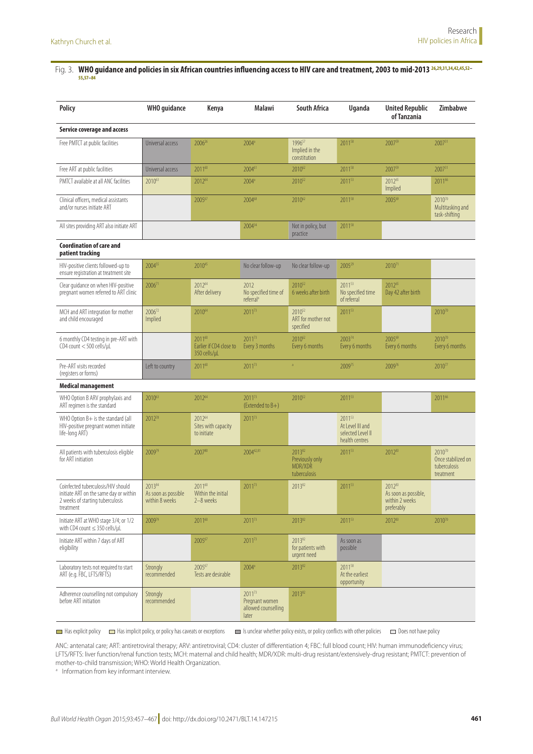#### <span id="page-4-0"></span>Fig. 3. **WHO guidance and policies in six African countries influencing access to HIV care and treatment, 2003 to mid-2013 [26](#page-9-18)[,29](#page-9-19),[31,](#page-9-20)[34](#page-10-1)[,42](#page-10-2),[45](#page-10-3),[52–](#page-10-4) [55,](#page-10-5)[57–](#page-10-6)[84](#page-10-7)**

| Policy                                                                                                                        | <b>WHO</b> guidance                             | Kenya                                             | Malawi                                                   | <b>South Africa</b>                                   | <b>Uganda</b>                                                     | <b>United Republic</b><br>of Tanzania                          | Zimbabwe                                                  |
|-------------------------------------------------------------------------------------------------------------------------------|-------------------------------------------------|---------------------------------------------------|----------------------------------------------------------|-------------------------------------------------------|-------------------------------------------------------------------|----------------------------------------------------------------|-----------------------------------------------------------|
| <b>Service coverage and access</b>                                                                                            |                                                 |                                                   |                                                          |                                                       |                                                                   |                                                                |                                                           |
| Free PMTCT at public facilities                                                                                               | Universal access                                | 2006 <sup>26</sup>                                | $2004^a$                                                 | 199657<br>Implied in the<br>constitution              | 2011 <sup>58</sup>                                                | 200759                                                         | $2007^{31}$                                               |
| Free ART at public facilities                                                                                                 | Universal access                                | 201160                                            | 200461                                                   | 201062                                                | 201158                                                            | 200759                                                         | 200731                                                    |
| PMTCT available at all ANC facilities                                                                                         | 201063                                          | 201264                                            | 2004 <sup>a</sup>                                        | 2010 <sup>52</sup>                                    | 201153                                                            | 201265<br>Implied                                              | 201166                                                    |
| Clinical officers, medical assistants<br>and/or nurses initiate ART                                                           |                                                 | 200567                                            | 200468                                                   | 201062                                                | 201158                                                            | 200569                                                         | 201070<br>Multitasking and<br>task-shifting               |
| All sites providing ART also initiate ART                                                                                     |                                                 |                                                   | 200434                                                   | Not in policy, but<br>practice                        | 201158                                                            |                                                                |                                                           |
| <b>Coordination of care and</b><br>patient tracking                                                                           |                                                 |                                                   |                                                          |                                                       |                                                                   |                                                                |                                                           |
| HIV-positive clients followed-up to<br>ensure registration at treatment site                                                  | 200455                                          | 201045                                            | No clear follow-up                                       | No clear follow-up                                    | 2005 <sup>29</sup>                                                | 2010 <sup>71</sup>                                             |                                                           |
| Clear quidance on when HIV-positive<br>pregnant women referred to ART clinic                                                  | $2006^{71}$                                     | 201264<br>After delivery                          | 2012<br>No specified time of<br>referral <sup>a</sup>    | 2010 <sup>52</sup><br>6 weeks after birth             | $2011^{53}$<br>No specified time<br>of referral                   | 201265<br>Day 42 after birth                                   |                                                           |
| MCH and ART integration for mother<br>and child encouraged                                                                    | 200672<br>Implied                               | 201064                                            | 201173                                                   | 2010 <sup>52</sup><br>ART for mother not<br>specified | 201153                                                            |                                                                | 201070                                                    |
| 6 monthly CD4 testing in pre-ART with<br>$CD4$ count $<$ 500 cells/ $\mu$ L                                                   |                                                 | 201160<br>Earlier if CD4 close to<br>350 cells/µL | 201173<br>Every 3 months                                 | 201062<br>Every 6 months                              | 200374<br>Every 6 months                                          | 200569<br>Every 6 months                                       | 201070<br>Every 6 months                                  |
| Pre-ART visits recorded<br>(registers or forms)                                                                               | Left to country                                 | 201160                                            | 201173                                                   | $\overline{a}$                                        | 200975                                                            | 200976                                                         | 201077                                                    |
| <b>Medical management</b>                                                                                                     |                                                 |                                                   |                                                          |                                                       |                                                                   |                                                                |                                                           |
| WHO Option B ARV prophylaxis and<br>ART regimen is the standard                                                               | 201063                                          | 201264                                            | 201173<br>(Extended to B+)                               | 2010 <sup>52</sup>                                    | 201153                                                            |                                                                | 201166                                                    |
| WHO Option $B+$ is the standard (all<br>HIV-positive pregnant women initiate<br>life-long ART)                                | 201278                                          | 201264<br>Sites with capacity<br>to initiate      | 201173                                                   |                                                       | 201153<br>At Level III and<br>selected Level II<br>health centres |                                                                |                                                           |
| All patients with tuberculosis eligible<br>for ART initiation                                                                 | 200979                                          | 200780                                            | 200442,81                                                | 201382<br>Previously only<br>MDR/XDR<br>tuberculosis  | 201153                                                            | 201283                                                         | 201070<br>Once stabilized on<br>tuberculosis<br>treatment |
| Coinfected tuberculosis/HIV should<br>initiate ART on the same day or within<br>2 weeks of starting tuberculosis<br>treatment | 201384<br>As soon as possible<br>within 8 weeks | 201160<br>Within the initial<br>2-8 weeks         | 2011 <sup>73</sup>                                       | 201382                                                | 201153                                                            | 201283<br>As soon as possible,<br>within 2 weeks<br>preferably |                                                           |
| Initiate ART at WHO stage 3/4; or 1/2<br>with CD4 count $\leq$ 350 cells/µL                                                   | 200979                                          | 201160                                            | 201173                                                   | 201382                                                | 201153                                                            | 201283                                                         | 201070                                                    |
| Initiate ART within 7 days of ART<br>eligibility                                                                              |                                                 | 200567                                            | 201173                                                   | 201382<br>for patients with<br>urgent need            | As soon as<br>possible                                            |                                                                |                                                           |
| Laboratory tests not required to start<br>ART (e.g. FBC, LFTS/RFTS)                                                           | Strongly<br>recommended                         | 200567<br>Tests are desirable                     | $2004^a$                                                 | 201382                                                | 2011 <sup>58</sup><br>At the earliest<br>opportunity              |                                                                |                                                           |
| Adherence counselling not compulsory<br>before ART initiation                                                                 | Strongly<br>recommended                         |                                                   | 201173<br>Pregnant women<br>allowed counselling<br>later | 201382                                                |                                                                   |                                                                |                                                           |

Has explicit policy **II** Has implicit policy, or policy has caveats or exceptions III Is unclear whether policy exists, or policy conflicts with other policies **III** Does not have policy

ANC: antenatal care; ART: antiretroviral therapy; ARV: antiretroviral; CD4: cluster of differentiation 4; FBC: full blood count; HIV: human immunodeficiency virus; LFTS/RFTS: liver function/renal function tests; MCH: maternal and child health; MDR/XDR: multi-drug resistant/extensively-drug resistant; PMTCT: prevention of mother-to-child transmission; WHO: World Health Organization.

<sup>a</sup> Information from key informant interview.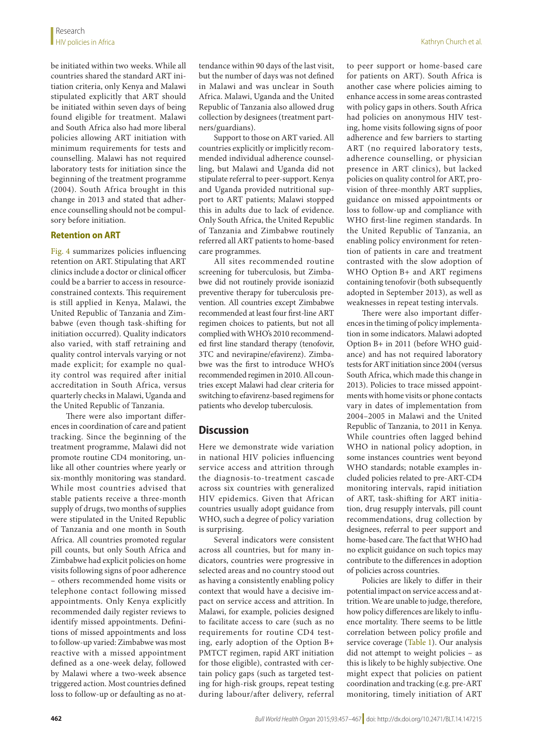be initiated within two weeks. While all countries shared the standard ART initiation criteria, only Kenya and Malawi stipulated explicitly that ART should be initiated within seven days of being found eligible for treatment. Malawi and South Africa also had more liberal policies allowing ART initiation with minimum requirements for tests and counselling. Malawi has not required laboratory tests for initiation since the beginning of the treatment programme (2004). South Africa brought in this change in 2013 and stated that adherence counselling should not be compulsory before initiation.

#### **Retention on ART**

[Fig.](#page-6-0) 4 summarizes policies influencing retention on ART. Stipulating that ART clinics include a doctor or clinical officer could be a barrier to access in resourceconstrained contexts. This requirement is still applied in Kenya, Malawi, the United Republic of Tanzania and Zimbabwe (even though task-shifting for initiation occurred). Quality indicators also varied, with staff retraining and quality control intervals varying or not made explicit; for example no quality control was required after initial accreditation in South Africa, versus quarterly checks in Malawi, Uganda and the United Republic of Tanzania.

There were also important differences in coordination of care and patient tracking. Since the beginning of the treatment programme, Malawi did not promote routine CD4 monitoring, unlike all other countries where yearly or six-monthly monitoring was standard. While most countries advised that stable patients receive a three-month supply of drugs, two months of supplies were stipulated in the United Republic of Tanzania and one month in South Africa. All countries promoted regular pill counts, but only South Africa and Zimbabwe had explicit policies on home visits following signs of poor adherence – others recommended home visits or telephone contact following missed appointments. Only Kenya explicitly recommended daily register reviews to identify missed appointments. Definitions of missed appointments and loss to follow-up varied: Zimbabwe was most reactive with a missed appointment defined as a one-week delay, followed by Malawi where a two-week absence triggered action. Most countries defined loss to follow-up or defaulting as no attendance within 90 days of the last visit, but the number of days was not defined in Malawi and was unclear in South Africa. Malawi, Uganda and the United Republic of Tanzania also allowed drug collection by designees (treatment partners/guardians).

Support to those on ART varied. All countries explicitly or implicitly recommended individual adherence counselling, but Malawi and Uganda did not stipulate referral to peer-support. Kenya and Uganda provided nutritional support to ART patients; Malawi stopped this in adults due to lack of evidence. Only South Africa, the United Republic of Tanzania and Zimbabwe routinely referred all ART patients to home-based care programmes.

All sites recommended routine screening for tuberculosis, but Zimbabwe did not routinely provide isoniazid preventive therapy for tuberculosis prevention. All countries except Zimbabwe recommended at least four first-line ART regimen choices to patients, but not all complied with WHO's 2010 recommended first line standard therapy (tenofovir, 3TC and nevirapine/efavirenz). Zimbabwe was the first to introduce WHO's recommended regimen in 2010. All countries except Malawi had clear criteria for switching to efavirenz-based regimens for patients who develop tuberculosis.

## **Discussion**

Here we demonstrate wide variation in national HIV policies influencing service access and attrition through the diagnosis-to-treatment cascade across six countries with generalized HIV epidemics. Given that African countries usually adopt guidance from WHO, such a degree of policy variation is surprising.

Several indicators were consistent across all countries, but for many indicators, countries were progressive in selected areas and no country stood out as having a consistently enabling policy context that would have a decisive impact on service access and attrition. In Malawi, for example, policies designed to facilitate access to care (such as no requirements for routine CD4 testing, early adoption of the Option B+ PMTCT regimen, rapid ART initiation for those eligible), contrasted with certain policy gaps (such as targeted testing for high-risk groups, repeat testing during labour/after delivery, referral

to peer support or home-based care for patients on ART). South Africa is another case where policies aiming to enhance access in some areas contrasted with policy gaps in others. South Africa had policies on anonymous HIV testing, home visits following signs of poor adherence and few barriers to starting ART (no required laboratory tests, adherence counselling, or physician presence in ART clinics), but lacked policies on quality control for ART, provision of three-monthly ART supplies, guidance on missed appointments or loss to follow-up and compliance with WHO first-line regimen standards. In the United Republic of Tanzania, an enabling policy environment for retention of patients in care and treatment contrasted with the slow adoption of WHO Option B+ and ART regimens containing tenofovir (both subsequently adopted in September 2013), as well as weaknesses in repeat testing intervals.

There were also important differences in the timing of policy implementation in some indicators. Malawi adopted Option B+ in 2011 (before WHO guidance) and has not required laboratory tests for ART initiation since 2004 (versus South Africa, which made this change in 2013). Policies to trace missed appointments with home visits or phone contacts vary in dates of implementation from 2004–2005 in Malawi and the United Republic of Tanzania, to 2011 in Kenya. While countries often lagged behind WHO in national policy adoption, in some instances countries went beyond WHO standards; notable examples included policies related to pre-ART-CD4 monitoring intervals, rapid initiation of ART, task-shifting for ART initiation, drug resupply intervals, pill count recommendations, drug collection by designees, referral to peer support and home-based care. The fact that WHO had no explicit guidance on such topics may contribute to the differences in adoption of policies across countries.

Policies are likely to differ in their potential impact on service access and attrition. We are unable to judge, therefore, how policy differences are likely to influence mortality. There seems to be little correlation between policy profile and service coverage ([Table](#page-1-0) 1). Our analysis did not attempt to weight policies – as this is likely to be highly subjective. One might expect that policies on patient coordination and tracking (e.g. pre-ART monitoring, timely initiation of ART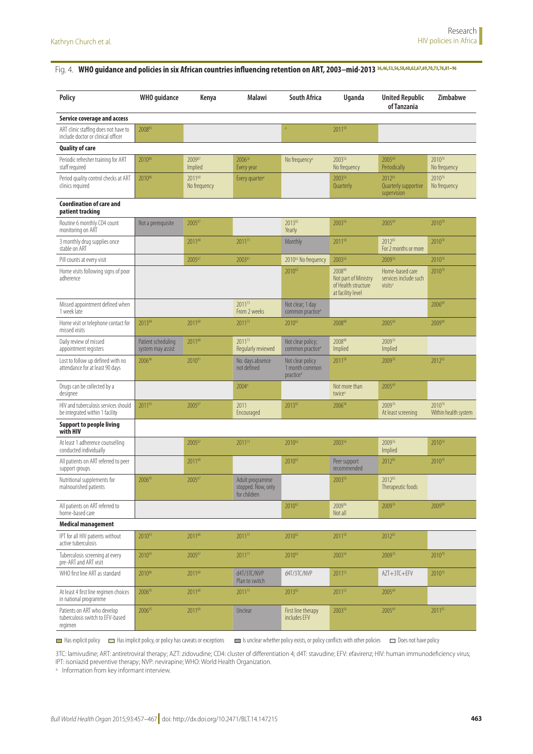## <span id="page-6-0"></span>Fig. 4. WHO guidance and policies in six African countries influencing retention on ART, 2003-mid-2013 [36](#page-10-8),[46,](#page-10-9)[53](#page-10-10)[,56](#page-10-0),[58,](#page-10-11)[60](#page-10-12)[,62](#page-10-13),[67,](#page-10-14)[69](#page-10-15)[,70](#page-10-16),[73,](#page-10-17)[76](#page-10-18)[,81](#page-10-19)-96

| <b>Policy</b>                                                              | <b>WHO</b> guidance                     | Kenya                  | Malawi                                                | <b>South Africa</b>                                         | Uganda                                                                     | <b>United Republic</b><br>of Tanzania                           | Zimbabwe                           |
|----------------------------------------------------------------------------|-----------------------------------------|------------------------|-------------------------------------------------------|-------------------------------------------------------------|----------------------------------------------------------------------------|-----------------------------------------------------------------|------------------------------------|
| <b>Service coverage and access</b>                                         |                                         |                        |                                                       |                                                             |                                                                            |                                                                 |                                    |
| ART clinic staffing does not have to<br>include doctor or clinical officer | 200885                                  |                        |                                                       |                                                             | 2011 <sup>58</sup>                                                         |                                                                 |                                    |
| <b>Quality of care</b>                                                     |                                         |                        |                                                       |                                                             |                                                                            |                                                                 |                                    |
| Periodic refresher training for ART<br>staff required                      | 2010 <sup>86</sup>                      | 200987<br>Implied      | 200636<br>Every year                                  | No frequency <sup>a</sup>                                   | 200356<br>No frequency                                                     | 200569<br>Periodically                                          | 2010 <sup>70</sup><br>No frequency |
| Period quality control checks at ART<br>clinics required                   | 2010 <sup>86</sup>                      | 201160<br>No frequency | Every quarter <sup>a</sup>                            |                                                             | 200356<br>Quarterly                                                        | 201283<br>Quarterly supportive<br>supervision                   | 201070<br>No frequency             |
| <b>Coordination of care and</b><br>patient tracking                        |                                         |                        |                                                       |                                                             |                                                                            |                                                                 |                                    |
| Routine 6 monthly CD4 count<br>monitoring on ART                           | Not a prerequisite                      | 200567                 |                                                       | 201382<br>Yearly                                            | 200356                                                                     | 200569                                                          | 201070                             |
| 3 monthly drug supplies once<br>stable on ART                              |                                         | 201160                 | 201173                                                | Monthly                                                     | 2011 <sup>58</sup>                                                         | 201283<br>For 2 months or more                                  | 201070                             |
| Pill counts at every visit                                                 |                                         | 200567                 | 200381                                                | 2010 <sup>62</sup> No frequency                             | 200356                                                                     | 200976                                                          | 201070                             |
| Home visits following signs of poor<br>adherence                           |                                         |                        |                                                       | 201062                                                      | 200888<br>Not part of Ministry<br>of Health structure<br>at facility level | Home-based care<br>services include such<br>visits <sup>a</sup> | 201070                             |
| Missed appointment defined when<br>1 week late                             |                                         |                        | 201173<br>From 2 weeks                                | Not clear; 1 day<br>common practice <sup>a</sup>            |                                                                            |                                                                 | 200689                             |
| Home visit or telephone contact for<br>missed visits                       | 201384                                  | 201160                 | 201173                                                | 201062                                                      | 200888                                                                     | 200569                                                          | 200990                             |
| Daily review of missed<br>appointment registers                            | Patient scheduling<br>system may assist | 201160                 | 2011 <sup>73</sup><br>Regularly reviewed              | Not clear policy;<br>common practice <sup>a</sup>           | 200888<br>Implied                                                          | 200976<br>Implied                                               |                                    |
| Lost to follow up defined with no<br>attendance for at least 90 days       | 200646                                  | 201091                 | No. days absence<br>not defined                       | Not clear policy<br>1 month common<br>practice <sup>a</sup> | 2011 <sup>58</sup>                                                         | 200976                                                          | 201292                             |
| Drugs can be collected by a<br>designee                                    |                                         |                        | 2004 <sup>a</sup>                                     |                                                             | Not more than<br>twice <sup>a</sup>                                        | 200569                                                          |                                    |
| HIV and tuberculosis services should<br>be integrated within 1 facility    | 201193                                  | 200567                 | 2011<br>Encouraged                                    | 201382                                                      | 200694                                                                     | 200976<br>At least screening                                    | 201070<br>Within health system     |
| <b>Support to people living</b><br>with HIV                                |                                         |                        |                                                       |                                                             |                                                                            |                                                                 |                                    |
| At least 1 adherence counselling<br>conducted individually                 |                                         | 200567                 | 201173                                                | 201062                                                      | 200356                                                                     | 200976<br>Implied                                               | 201070                             |
| All patients on ART referred to peer<br>support groups                     |                                         | 201160                 |                                                       | 201062                                                      | Peer support<br>recommended                                                | 201283                                                          | 201070                             |
| Nutritional supplements for<br>malnourished patients                       | 200695                                  | 200567                 | Adult programme<br>stopped. Now, only<br>for children |                                                             | 200356                                                                     | 201283<br>Therapeutic foods                                     |                                    |
| All patients on ART referred to<br>home-based care                         |                                         |                        |                                                       | 201062                                                      | 200996<br>Not all                                                          | 200976                                                          | 200990                             |
| <b>Medical management</b>                                                  |                                         |                        |                                                       |                                                             |                                                                            |                                                                 |                                    |
| IPT for all HIV patients without<br>active tuberculosis                    | 201093                                  | 201160                 | $2011^{73}$                                           | 2010 <sup>62</sup>                                          | 2011 <sup>58</sup>                                                         | 201283                                                          |                                    |
| Tuberculosis screening at every<br>pre-ART and ART visit                   | 201093                                  | 200567                 | 201173                                                | 201062                                                      | 200356                                                                     | 200976                                                          | 201070                             |
| WHO first line ART as standard                                             | 2010 <sup>86</sup>                      | 201160                 | d4T/3TC/NVP<br>Plan to switch                         | d4T/3TC/NVP                                                 | 201153                                                                     | AZT+3TC+EFV                                                     | 201070                             |
| At least 4 first line regimen choices<br>in national programme             | 200695                                  | 201160                 | 201173                                                | 201382                                                      | 201153                                                                     | 200569                                                          |                                    |
| Patients on ART who develop<br>tuberculosis switch to EFV-based<br>regimen | 200695                                  | 201160                 | Unclear                                               | First line therapy<br>includes EFV                          | 200356                                                                     | 200569                                                          | 201165                             |

Has implicit policy or policy or policy has caveats or exceptions  $\Box$  Is unclear whether policy exists, or policy conflicts with other policies  $\Box$  Does not have policy

3TC: lamivudine; ART: antiretroviral therapy; AZT: zidovudine; CD4: cluster of differentiation 4; d4T: stavudine; EFV: efavirenz; HIV: human immunodeficiency virus; IPT: isoniazid preventive therapy; NVP: nevirapine; WHO: World Health Organization.

<sup>a</sup> Information from key informant interview.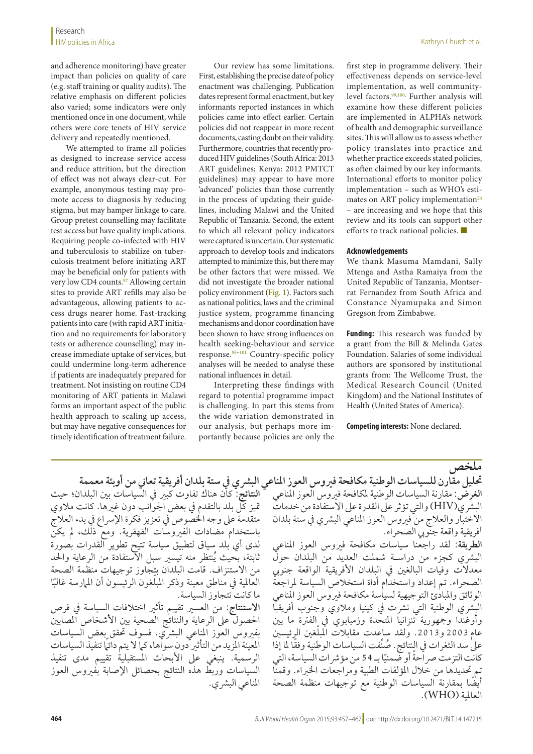and adherence monitoring) have greater impact than policies on quality of care (e.g. staff training or quality audits). The relative emphasis on different policies also varied; some indicators were only mentioned once in one document, while others were core tenets of HIV service delivery and repeatedly mentioned.

We attempted to frame all policies as designed to increase service access and reduce attrition, but the direction of effect was not always clear-cut. For example, anonymous testing may promote access to diagnosis by reducing stigma, but may hamper linkage to care. Group pretest counselling may facilitate test access but have quality implications. Requiring people co-infected with HIV and tuberculosis to stabilize on tuberculosis treatment before initiating ART may be beneficial only for patients with very low CD4 counts.<sup>97</sup> Allowing certain sites to provide ART refills may also be advantageous, allowing patients to access drugs nearer home. Fast-tracking patients into care (with rapid ART initiation and no requirements for laboratory tests or adherence counselling) may increase immediate uptake of services, but could undermine long-term adherence if patients are inadequately prepared for treatment. Not insisting on routine CD4 monitoring of ART patients in Malawi forms an important aspect of the public health approach to scaling up access, but may have negative consequences for timely identification of treatment failure.

Our review has some limitations. First, establishing the precise date of policy enactment was challenging. Publication dates represent formal enactment, but key informants reported instances in which policies came into effect earlier. Certain policies did not reappear in more recent documents, casting doubt on their validity. Furthermore, countries that recently produced HIV guidelines (South Africa: 2013 ART guidelines; Kenya: 2012 PMTCT guidelines) may appear to have more 'advanced' policies than those currently in the process of updating their guidelines, including Malawi and the United Republic of Tanzania. Second, the extent to which all relevant policy indicators were captured is uncertain. Our systematic approach to develop tools and indicators attempted to minimize this, but there may be other factors that were missed. We did not investigate the broader national policy environment ([Fig.](#page-1-1) 1). Factors such as national politics, laws and the criminal justice system, programme financing mechanisms and donor coordination have been shown to have strong influences on health seeking-behaviour and service response.[98–](#page-10-22)[101](#page-10-23) Country-specific policy analyses will be needed to analyse these national influences in detail.

Interpreting these findings with regard to potential programme impact is challenging. In part this stems from the wide variation demonstrated in our analysis, but perhaps more importantly because policies are only the first step in programme delivery. Their effectiveness depends on service-level implementation, as well community-level factors.<sup>99,[100](#page-10-25),</sup> Further analysis will examine how these different policies are implemented in ALPHA's network of health and demographic surveillance sites. This will allow us to assess whether policy translates into practice and whether practice exceeds stated policies, as often claimed by our key informants. International efforts to monitor policy implementation – such as WHO's estimates on ART policy implementation<sup>24</sup> – are increasing and we hope that this review and its tools can support other efforts to track national policies. ■

#### **Acknowledgements**

We thank Masuma Mamdani, Sally Mtenga and Astha Ramaiya from the United Republic of Tanzania, Montserrat Fernandez from South Africa and Constance Nyamupaka and Simon Gregson from Zimbabwe.

**Funding:** This research was funded by a grant from the Bill & Melinda Gates Foundation. Salaries of some individual authors are sponsored by institutional grants from: The Wellcome Trust, the Medical Research Council (United Kingdom) and the National Institutes of Health (United States of America).

#### **Competing interests:** None declared.

**النتائج:** كان هناك تفاوت كبري يف السياسات بني البلدان؛ حيث متيز كل بلد بالتقدم يف بعض اجلوانب دون غريها. كانت مالوي متقدمة على وجه الخصوص في تعزيز فكرة الإسراع في بدء العلاج باستخدام مضادات الفريوسات القهقرية. ومع ذلك، مل يكن لدى أي بلد سياق لتطبيق سياسة تتيح تطوير القدرات بصورة ُ ثابتة، بحيث ينتظر منه تيسري سبل االستفادة من الرعاية واحلد من االستنزاف. قامت البلدان بتجاوز توجيهات منظمة الصحة العالمية في مناطق معينة وذكر المبلغون الرئيسون أن المارسة غالبًا ما كانت تتجاوز السياسة. **االستنتاج:** من العسري تقييم تأثري اختالفات السياسة يف فرص الحصول على الرعاية والنتائج الصحية بين الأشخاص المصابين بفيروس العوز المناعي البشري. فسوف تحقق بعض السياسات المعينة المزيد من التأثير دون سواها، كما لا يتم دائيًا تنفيذ السياسات الرسمية. ينبغي عىل األبحاث املستقبلية تقييم مدى تنفيذ السياسات وربط هذه النتائج بحصائل اإلصابة بفريوس العوز

**ملخص حتليل مقارن للسياسات الوطنيةمكافحة فريوس العوزاملناعي البرشي يف ستة بلدان أفريقية تعاين من أوبئة معممة الغرض:** مقارنة السياسات الوطنية ملكافحة فريوس العوز املناعي البشري(HIV) والتي تؤثر على القدرة على الاستفادة من خدمات الاختبار والعلاج من فيروس العوز المناعي البشري في ستة بلدان أفريقية واقعة جنويب الصحراء. **الطريقة:** لقد راجعنا سياسات مكافحة فريوس العوز املناعي البرشي كجزء من دراسـة شملت العديد من البلدان حول معدلات وفيات البالغين في البلدان الأفريقية الواقعة جنوبي الصحراء. تم إعداد واستخدام أداة استخالص السياسة ملراجعة الوثائق واملبادئ التوجيهية لسياسة مكافحة فريوس العوز املناعي البُشري الوطنية التي نشرت في كينيا وملاوّي وجنوب أفريقياً وأوغُندًا وجمهورية تنزانيا المتحدة وزمبابوي في الفترة ما بين عام 2003 و2013. ولقد ساعدت مقابلات المبلغين الرئيسين علىٰ سد الثغرات في النتائج. صُنِّفت السياسات الوطنية وفقًا لما إذا كانت التزمت صراحة أو ضمنيًا بـ 54 من مؤشرات السياسة، التي<br>-تم حتديدها من خالل املؤلفات الطبية ومراجعات اخلرباء. وقمنا أيضًا بمقارنة السياسات الوطنية مع توجيهات منظمة الصحة المناعي البشري. العاملية )WHO).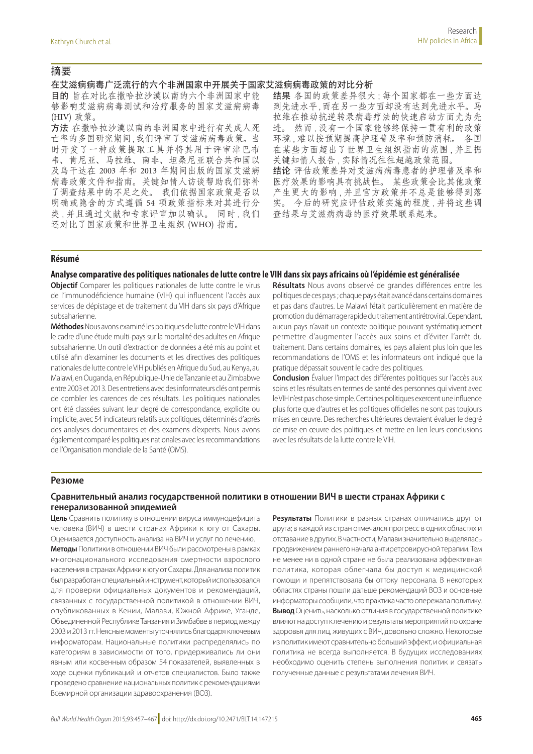## 摘要

#### 在艾滋病病毒广泛流行的六个非洲国家中开展关于国家艾滋病病毒政策的对比分析

目的 旨在对比在撒哈拉沙漠以南的六个非洲国家中能 够影响艾滋病病毒测试和治疗服务的国家艾滋病病毒 (HIV) 政策。

方法 在撒哈拉沙漠以南的非洲国家中进行有关成人死 亡率的多国研究期间 , 我们评审了艾滋病病毒政策。当 时开发了一种政策提取工具并将其用于评审津巴布 韦、肯尼亚、马拉维、南非、坦桑尼亚联合共和国以 及乌干达在 2003 年和 2013 年期间出版的国家艾滋病 病毒政策文件和指南。关键知情人访谈帮助我们弥补 了调查结果中的不足之处。 我们依据国家政策是否以 明确或隐含的方式遵循 54 项政策指标来对其进行分 类 , 并且通过文献和专家评审加以确认。 同时 , 我们 还对比了国家政策和世界卫生组织 (WHO) 指南。

结果 各国的政策差异很大;每个国家都在一些方面达 到先进水平 , 而在另一些方面却没有达到先进水平。马 拉维在推动抗逆转录病毒疗法的快速启动方面尤为先 进。 然而 , 没有一个国家能够终保持一贯有利的政策 环境 , 难以按预期提高护理普及率和预防消耗。 各国 在某些方面超出了世界卫生组织指南的范围 , 并且据 关键知情人报告 , 实际情况往往超越政策范围。 结论 评估政策差异对艾滋病病毒患者的护理普及率和

医疗效果的影响具有挑战性。 某些政策会比其他政策 产生更大的影响 , 并且官方政策并不总是能够得到落 实。 今后的研究应评估政策实施的程度 , 并将这些调 查结果与艾滋病病毒的医疗效果联系起来。

#### **Résumé**

#### **Analyse comparative des politiques nationales de lutte contre le VIH dans six pays africains où l'épidémie est généralisée**

**Objectif** Comparer les politiques nationales de lutte contre le virus de l'immunodéficience humaine (VIH) qui influencent l'accès aux services de dépistage et de traitement du VIH dans six pays d'Afrique subsaharienne.

**Méthodes** Nous avons examiné les politiques de lutte contre le VIH dans le cadre d'une étude multi-pays sur la mortalité des adultes en Afrique subsaharienne. Un outil d'extraction de données a été mis au point et utilisé afin d'examiner les documents et les directives des politiques nationales de lutte contre le VIH publiés en Afrique du Sud, au Kenya, au Malawi, en Ouganda, en République-Unie de Tanzanie et au Zimbabwe entre 2003 et 2013. Des entretiens avec des informateurs clés ont permis de combler les carences de ces résultats. Les politiques nationales ont été classées suivant leur degré de correspondance, explicite ou implicite, avec 54 indicateurs relatifs aux politiques, déterminés d'après des analyses documentaires et des examens d'experts. Nous avons également comparé les politiques nationales avec les recommandations de l'Organisation mondiale de la Santé (OMS).

**Résultats** Nous avons observé de grandes différences entre les politiques de ces pays; chaque pays était avancé dans certains domaines et pas dans d'autres. Le Malawi l'était particulièrement en matière de promotion du démarrage rapide du traitement antirétroviral. Cependant, aucun pays n'avait un contexte politique pouvant systématiquement permettre d'augmenter l'accès aux soins et d'éviter l'arrêt du traitement. Dans certains domaines, les pays allaient plus loin que les recommandations de l'OMS et les informateurs ont indiqué que la pratique dépassait souvent le cadre des politiques.

**Conclusion** Évaluer l'impact des différentes politiques sur l'accès aux soins et les résultats en termes de santé des personnes qui vivent avec le VIH n'est pas chose simple. Certaines politiques exercent une influence plus forte que d'autres et les politiques officielles ne sont pas toujours mises en œuvre. Des recherches ultérieures devraient évaluer le degré de mise en œuvre des politiques et mettre en lien leurs conclusions avec les résultats de la lutte contre le VIH.

#### **Резюме**

## **Сравнительный анализ государственной политики в отношении ВИЧ в шести странах Африки с генерализованной эпидемией**

**Цель** Сравнить политику в отношении вируса иммунодефицита человека (ВИЧ) в шести странах Африки к югу от Сахары. Оценивается доступность анализа на ВИЧ и услуг по лечению. **Методы** Политики в отношении ВИЧ были рассмотрены в рамках многонационального исследования смертности взрослого населения в странах Африки к югу от Сахары. Для анализа политик был разработан специальный инструмент, который использовался для проверки официальных документов и рекомендаций, связанных с государственной политикой в отношении ВИЧ, опубликованных в Кении, Малави, Южной Африке, Уганде, Объединенной Республике Танзания и Зимбабве в период между 2003 и 2013 гг. Неясные моменты уточнялись благодаря ключевым информаторам. Национальные политики распределялись по категориям в зависимости от того, придерживались ли они явным или косвенным образом 54 показателей, выявленных в ходе оценки публикаций и отчетов специалистов. Было также проведено сравнение национальных политик с рекомендациями Всемирной организации здравоохранения (ВОЗ).

**Результаты** Политики в разных странах отличались друг от друга; в каждой из стран отмечался прогресс в одних областях и отставание в других. В частности, Малави значительно выделялась продвижением раннего начала антиретровирусной терапии. Тем не менее ни в одной стране не была реализована эффективная политика, которая облегчала бы доступ к медицинской помощи и препятствовала бы оттоку персонала. В некоторых областях страны пошли дальше рекомендаций ВОЗ и основные информаторы сообщили, что практика часто опережала политику. **Вывод** Оценить, насколько отличия в государственной политике влияют на доступ к лечению и результаты мероприятий по охране здоровья для лиц, живущих с ВИЧ, довольно сложно. Некоторые из политик имеют сравнительно больший эффект, и официальная политика не всегда выполняется. В будущих исследованиях необходимо оценить степень выполнения политик и связать полученные данные с результатами лечения ВИЧ.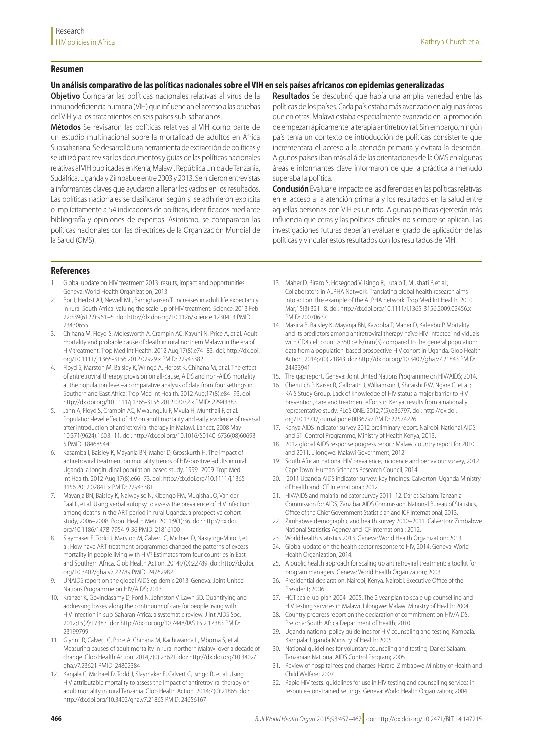#### **Resumen**

#### **Un análisis comparativo de las políticas nacionales sobre el VIH en seis países africanos con epidemias generalizadas**

**Objetivo** Comparar las políticas nacionales relativas al virus de la inmunodeficiencia humana (VIH) que influencian el acceso a las pruebas del VIH y a los tratamientos en seis países sub-saharianos.

**Métodos** Se revisaron las políticas relativas al VIH como parte de un estudio multinacional sobre la mortalidad de adultos en África Subsahariana. Se desarrolló una herramienta de extracción de políticas y se utilizó para revisar los documentos y guías de las políticas nacionales relativas al VIH publicadas en Kenia, Malawi, República Unida de Tanzania, Sudáfrica, Uganda y Zimbabue entre 2003 y 2013. Se hicieron entrevistas a informantes claves que ayudaron a llenar los vacíos en los resultados. Las políticas nacionales se clasificaron según si se adhirieron explícita o implícitamente a 54 indicadores de políticas, identificados mediante bibliografía y opiniones de expertos. Asimismo, se compararon las políticas nacionales con las directrices de la Organización Mundial de la Salud (OMS).

**Resultados** Se descubrió que había una amplia variedad entre las políticas de los países. Cada país estaba más avanzado en algunas áreas que en otras. Malawi estaba especialmente avanzado en la promoción de empezar rápidamente la terapia antirretroviral. Sin embargo, ningún país tenía un contexto de introducción de políticas consistente que incrementara el acceso a la atención primaria y evitara la deserción. Algunos países iban más allá de las orientaciones de la OMS en algunas áreas e informantes clave informaron de que la práctica a menudo superaba la política.

**Conclusión** Evaluar el impacto de las diferencias en las políticas relativas en el acceso a la atención primaria y los resultados en la salud entre aquellas personas con VIH es un reto. Algunas políticas ejercerán más influencia que otras y las políticas oficiales no siempre se aplican. Las investigaciones futuras deberían evaluar el grado de aplicación de las políticas y vincular estos resultados con los resultados del VIH.

#### **References**

- <span id="page-9-0"></span>1. Global update on HIV treatment 2013: results, impact and opportunities. Geneva: World Health Organization; 2013.
- <span id="page-9-1"></span>2. Bor J, Herbst AJ, Newell ML, Bärnighausen T. Increases in adult life expectancy in rural South Africa: valuing the scale-up of HIV treatment. Science. 2013 Feb 22;339(6122):961–5. doi: <http://dx.doi.org/10.1126/science.1230413> PMID: [23430655](http://www.ncbi.nlm.nih.gov/pubmed/23430655)
- 3. Chihana M, Floyd S, Molesworth A, Crampin AC, Kayuni N, Price A, et al. Adult mortality and probable cause of death in rural northern Malawi in the era of HIV treatment. Trop Med Int Health. 2012 Aug;17(8):e74–83. doi: [http://dx.doi.](http://dx.doi.org/10.1111/j.1365-3156.2012.02929.x) [org/10.1111/j.1365-3156.2012.02929.x](http://dx.doi.org/10.1111/j.1365-3156.2012.02929.x) PMID: [22943382](http://www.ncbi.nlm.nih.gov/pubmed/22943382)
- 4. Floyd S, Marston M, Baisley K, Wringe A, Herbst K, Chihana M, et al. The effect of antiretroviral therapy provision on all-cause, AIDS and non-AIDS mortality at the population level–a comparative analysis of data from four settings in Southern and East Africa. Trop Med Int Health. 2012 Aug;17(8):e84–93. doi: <http://dx.doi.org/10.1111/j.1365-3156.2012.03032.x>PMID: [22943383](http://www.ncbi.nlm.nih.gov/pubmed/22943383)
- Jahn A, Floyd S, Crampin AC, Mwaungulu F, Mvula H, Munthali F, et al. Population-level effect of HIV on adult mortality and early evidence of reversal after introduction of antiretroviral therapy in Malawi. Lancet. 2008 May 10;371(9624):1603–11. doi: [http://dx.doi.org/10.1016/S0140-6736\(08\)60693-](http://dx.doi.org/10.1016/S0140-6736(08)60693-5) [5](http://dx.doi.org/10.1016/S0140-6736(08)60693-5) PMID: [18468544](http://www.ncbi.nlm.nih.gov/pubmed/18468544)
- 6. Kasamba I, Baisley K, Mayanja BN, Maher D, Grosskurth H. The impact of antiretroviral treatment on mortality trends of HIV-positive adults in rural Uganda: a longitudinal population-based study, 1999–2009. Trop Med Int Health. 2012 Aug;17(8):e66–73. doi: [http://dx.doi.org/10.1111/j.1365-](http://dx.doi.org/10.1111/j.1365-3156.2012.02841.x) [3156.2012.02841.x](http://dx.doi.org/10.1111/j.1365-3156.2012.02841.x) PMID: [22943381](http://www.ncbi.nlm.nih.gov/pubmed/22943381)
- 7. Mayanja BN, Baisley K, Nalweyiso N, Kibengo FM, Mugisha JO, Van der Paal L, et al. Using verbal autopsy to assess the prevalence of HIV infection among deaths in the ART period in rural Uganda: a prospective cohort study, 2006–2008. Popul Health Metr. 2011;9(1):36. doi: [http://dx.doi.](http://dx.doi.org/10.1186/1478-7954-9-36) [org/10.1186/1478-7954-9-36](http://dx.doi.org/10.1186/1478-7954-9-36) PMID: [21816100](http://www.ncbi.nlm.nih.gov/pubmed/21816100)
- <span id="page-9-2"></span>8. Slaymaker E, Todd J, Marston M, Calvert C, Michael D, Nakiyingi-Miiro J, et al. How have ART treatment programmes changed the patterns of excess mortality in people living with HIV? Estimates from four countries in East and Southern Africa. Glob Health Action. 2014;7(0):22789. doi: [http://dx.doi.](http://dx.doi.org/10.3402/gha.v7.22789) [org/10.3402/gha.v7.22789](http://dx.doi.org/10.3402/gha.v7.22789) PMID: [24762982](http://www.ncbi.nlm.nih.gov/pubmed/24762982)
- <span id="page-9-3"></span>UNAIDS report on the global AIDS epidemic 2013. Geneva: Joint United Nations Programme on HIV/AIDS; 2013.
- <span id="page-9-4"></span>10. Kranzer K, Govindasamy D, Ford N, Johnston V, Lawn SD. Quantifying and addressing losses along the continuum of care for people living with HIV infection in sub-Saharan Africa: a systematic review. J Int AIDS Soc. 2012;15(2):17383. doi: <http://dx.doi.org/10.7448/IAS.15.2.17383>PMID: [23199799](http://www.ncbi.nlm.nih.gov/pubmed/23199799)
- <span id="page-9-5"></span>11. Glynn JR, Calvert C, Price A, Chihana M, Kachiwanda L, Mboma S, et al. Measuring causes of adult mortality in rural northern Malawi over a decade of change. Glob Health Action. 2014;7(0):23621. doi: [http://dx.doi.org/10.3402/](http://dx.doi.org/10.3402/gha.v7.23621) [gha.v7.23621](http://dx.doi.org/10.3402/gha.v7.23621) PMID: [24802384](http://www.ncbi.nlm.nih.gov/pubmed/24802384)
- 12. Kanjala C, Michael D, Todd J, Slaymaker E, Calvert C, Isingo R, et al. Using HIV-attributable mortality to assess the impact of antiretroviral therapy on adult mortality in rural Tanzania. Glob Health Action. 2014;7(0):21865. doi: <http://dx.doi.org/10.3402/gha.v7.21865>PMID: [24656167](http://www.ncbi.nlm.nih.gov/pubmed/24656167)
- 13. Maher D, Biraro S, Hosegood V, Isingo R, Lutalo T, Mushati P, et al.; Collaborators in ALPHA Network. Translating global health research aims into action: the example of the ALPHA network. Trop Med Int Health. 2010 Mar;15(3):321–8. doi:<http://dx.doi.org/10.1111/j.1365-3156.2009.02456.x> PMID: [20070637](http://www.ncbi.nlm.nih.gov/pubmed/20070637)
- <span id="page-9-6"></span>14. Masiira B, Baisley K, Mayanja BN, Kazooba P, Maher D, Kaleebu P. Mortality and its predictors among antiretroviral therapy naïve HIV-infected individuals with CD4 cell count ≥350 cells/mm(3) compared to the general population: data from a population-based prospective HIV cohort in Uganda. Glob Health Action. 2014;7(0):21843. doi: <http://dx.doi.org/10.3402/gha.v7.21843>PMID: [24433941](http://www.ncbi.nlm.nih.gov/pubmed/24433941)
- <span id="page-9-7"></span>15. The gap report. Geneva: Joint United Nations Programme on HIV/AIDS; 2014.
- <span id="page-9-9"></span>16. Cherutich P, Kaiser R, Galbraith J, Williamson J, Shiraishi RW, Ngare C, et al.; KAIS Study Group. Lack of knowledge of HIV status a major barrier to HIV prevention, care and treatment efforts in Kenya: results from a nationally representative study. PLoS ONE. 2012;7(5):e36797. doi: [http://dx.doi.](http://dx.doi.org/10.1371/journal.pone.0036797) [org/10.1371/journal.pone.0036797](http://dx.doi.org/10.1371/journal.pone.0036797) PMID: [22574226](http://www.ncbi.nlm.nih.gov/pubmed/22574226)
- <span id="page-9-10"></span>17. Kenya AIDS indicator survey 2012 preliminary report. Nairobi: National AIDS and STI Control Programme, Ministry of Health Kenya; 2013.
- <span id="page-9-11"></span>18. 2012 global AIDS response progress report: Malawi country report for 2010 and 2011. Lilongwe: Malawi Government; 2012.
- <span id="page-9-12"></span>19. South African national HIV prevalence, incidence and behaviour survey, 2012. Cape Town: Human Sciences Research Council; 2014.
- <span id="page-9-13"></span>20. 2011 Uganda AIDS indicator survey: key findings. Calverton: Uganda Ministry of Health and ICF International; 2012.
- <span id="page-9-14"></span>21. HIV/AIDS and malaria indicator survey 2011–12. Dar es Salaam: Tanzania Commission for AIDS, Zanzibar AIDS Commission, National Bureau of Statistics, Office of the Chief Government Statistician and ICF International; 2013.
- <span id="page-9-15"></span>22. Zimbabwe demographic and health survey 2010–2011. Calverton: Zimbabwe National Statistics Agency and ICF International; 2012.
- <span id="page-9-16"></span>23. World health statistics 2013. Geneva: World Health Organization; 2013.
- <span id="page-9-8"></span>24. Global update on the health sector response to HIV, 2014. Geneva: World Health Organization; 2014.
- <span id="page-9-17"></span>25. A public health approach for scaling up antiretroviral treatment: a toolkit for program managers. Geneva: World Health Organization; 2003.
- <span id="page-9-18"></span>26. Presidential declaration. Nairobi, Kenya. Nairobi: Executive Office of the President; 2006.
- 27. HCT scale-up plan 2004–2005: The 2 year plan to scale up counselling and HIV testing services in Malawi. Lilongwe: Malawi Ministry of Health; 2004.
- 28. Country progress report on the declaration of commitment on HIV/AIDS. Pretoria: South Africa Department of Health; 2010.
- <span id="page-9-19"></span>29. Uganda national policy guidelines for HIV counseling and testing. Kampala. Kampala: Uganda Ministry of Health; 2005.
- 30. National guidelines for voluntary counseling and testing. Dar es Salaam: Tanzanian National AIDS Control Program; 2005.
- <span id="page-9-20"></span>31. Review of hospital fees and charges. Harare: Zimbabwe Ministry of Health and Child Welfare; 2007.
- 32. Rapid HIV tests: guidelines for use in HIV testing and counselling services in resource-constrained settings. Geneva: World Health Organization; 2004.